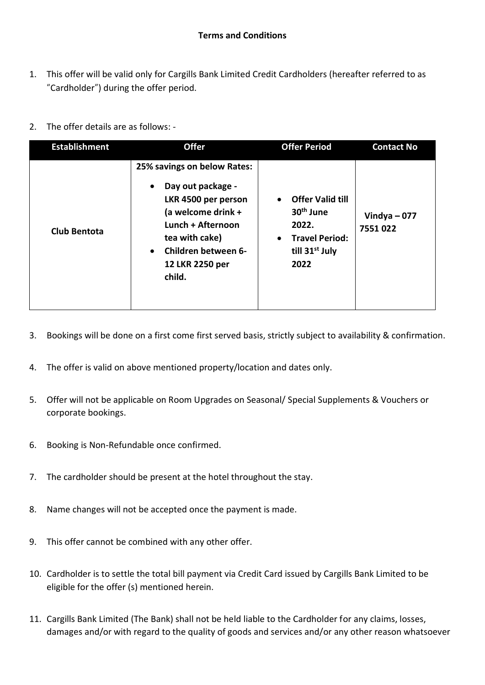- 1. This offer will be valid only for Cargills Bank Limited Credit Cardholders (hereafter referred to as "Cardholder") during the offer period.
- 2. The offer details are as follows: -

| <b>Establishment</b> | <b>Offer</b>                                                                                                                                                                                                       | <b>Offer Period</b>                                                                                                                   | <b>Contact No</b>        |
|----------------------|--------------------------------------------------------------------------------------------------------------------------------------------------------------------------------------------------------------------|---------------------------------------------------------------------------------------------------------------------------------------|--------------------------|
| <b>Club Bentota</b>  | 25% savings on below Rates:<br>Day out package -<br>$\bullet$<br>LKR 4500 per person<br>(a welcome drink +<br>Lunch + Afternoon<br>tea with cake)<br>Children between 6-<br>$\bullet$<br>12 LKR 2250 per<br>child. | <b>Offer Valid till</b><br>30 <sup>th</sup> June<br>2022.<br><b>Travel Period:</b><br>$\bullet$<br>till 31 <sup>st</sup> July<br>2022 | Vindya $-077$<br>7551022 |

- 3. Bookings will be done on a first come first served basis, strictly subject to availability & confirmation.
- 4. The offer is valid on above mentioned property/location and dates only.
- 5. Offer will not be applicable on Room Upgrades on Seasonal/ Special Supplements & Vouchers or corporate bookings.
- 6. Booking is Non-Refundable once confirmed.
- 7. The cardholder should be present at the hotel throughout the stay.
- 8. Name changes will not be accepted once the payment is made.
- 9. This offer cannot be combined with any other offer.
- 10. Cardholder is to settle the total bill payment via Credit Card issued by Cargills Bank Limited to be eligible for the offer (s) mentioned herein.
- 11. Cargills Bank Limited (The Bank) shall not be held liable to the Cardholder for any claims, losses, damages and/or with regard to the quality of goods and services and/or any other reason whatsoever